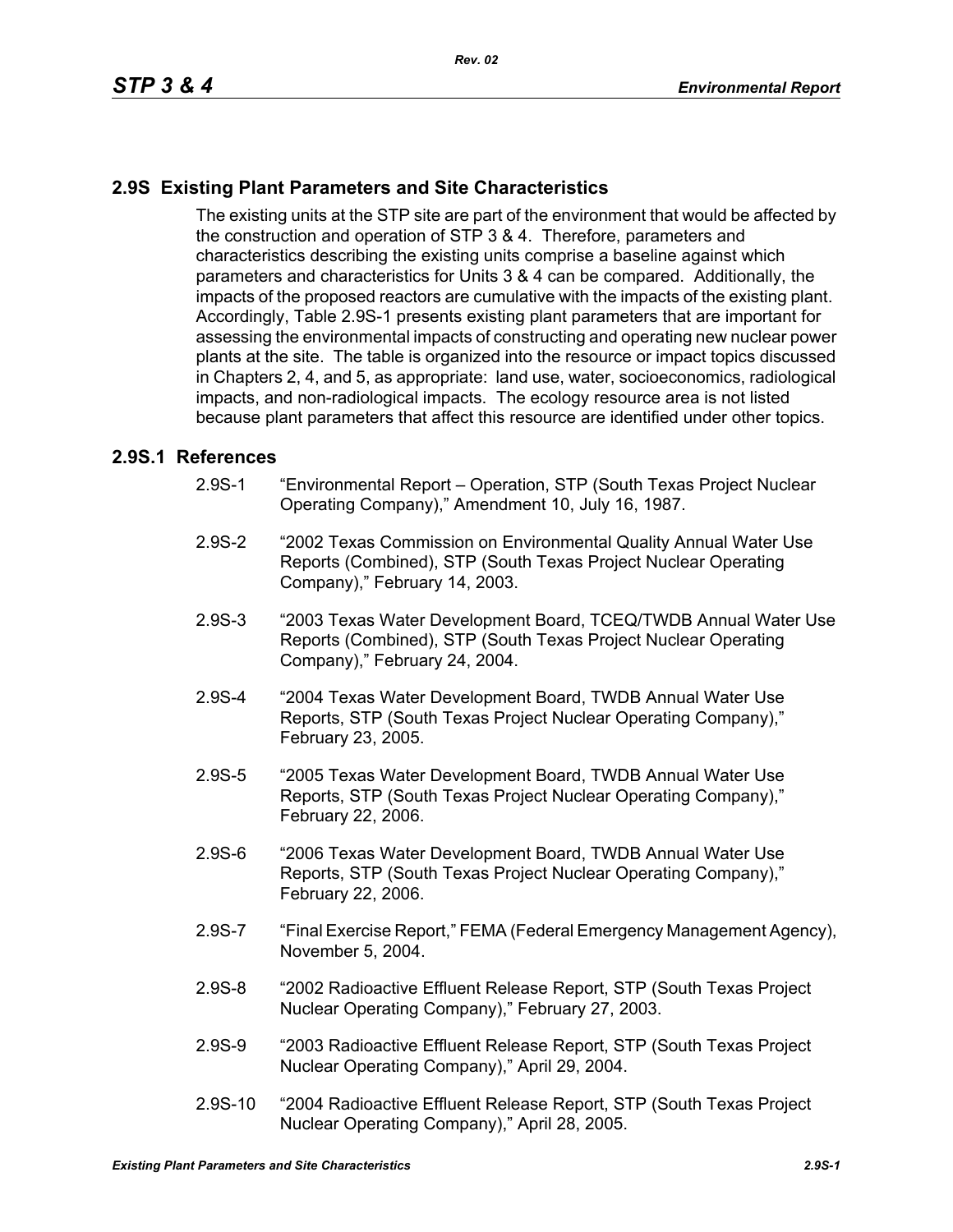## **2.9S Existing Plant Parameters and Site Characteristics**

The existing units at the STP site are part of the environment that would be affected by the construction and operation of STP 3 & 4. Therefore, parameters and characteristics describing the existing units comprise a baseline against which parameters and characteristics for Units 3 & 4 can be compared. Additionally, the impacts of the proposed reactors are cumulative with the impacts of the existing plant. Accordingly, Table 2.9S-1 presents existing plant parameters that are important for assessing the environmental impacts of constructing and operating new nuclear power plants at the site. The table is organized into the resource or impact topics discussed in Chapters 2, 4, and 5, as appropriate: land use, water, socioeconomics, radiological impacts, and non-radiological impacts. The ecology resource area is not listed because plant parameters that affect this resource are identified under other topics.

#### **2.9S.1 References**

- 2.9S-1 "Environmental Report Operation, STP (South Texas Project Nuclear Operating Company)," Amendment 10, July 16, 1987.
- 2.9S-2 "2002 Texas Commission on Environmental Quality Annual Water Use Reports (Combined), STP (South Texas Project Nuclear Operating Company)," February 14, 2003.
- 2.9S-3 "2003 Texas Water Development Board, TCEQ/TWDB Annual Water Use Reports (Combined), STP (South Texas Project Nuclear Operating Company)," February 24, 2004.
- 2.9S-4 "2004 Texas Water Development Board, TWDB Annual Water Use Reports, STP (South Texas Project Nuclear Operating Company)," February 23, 2005.
- 2.9S-5 "2005 Texas Water Development Board, TWDB Annual Water Use Reports, STP (South Texas Project Nuclear Operating Company)," February 22, 2006.
- 2.9S-6 "2006 Texas Water Development Board, TWDB Annual Water Use Reports, STP (South Texas Project Nuclear Operating Company)," February 22, 2006.
- 2.9S-7 "Final Exercise Report," FEMA (Federal Emergency Management Agency), November 5, 2004.
- 2.9S-8 "2002 Radioactive Effluent Release Report, STP (South Texas Project Nuclear Operating Company)," February 27, 2003.
- 2.9S-9 "2003 Radioactive Effluent Release Report, STP (South Texas Project Nuclear Operating Company)," April 29, 2004.
- 2.9S-10 "2004 Radioactive Effluent Release Report, STP (South Texas Project Nuclear Operating Company)," April 28, 2005.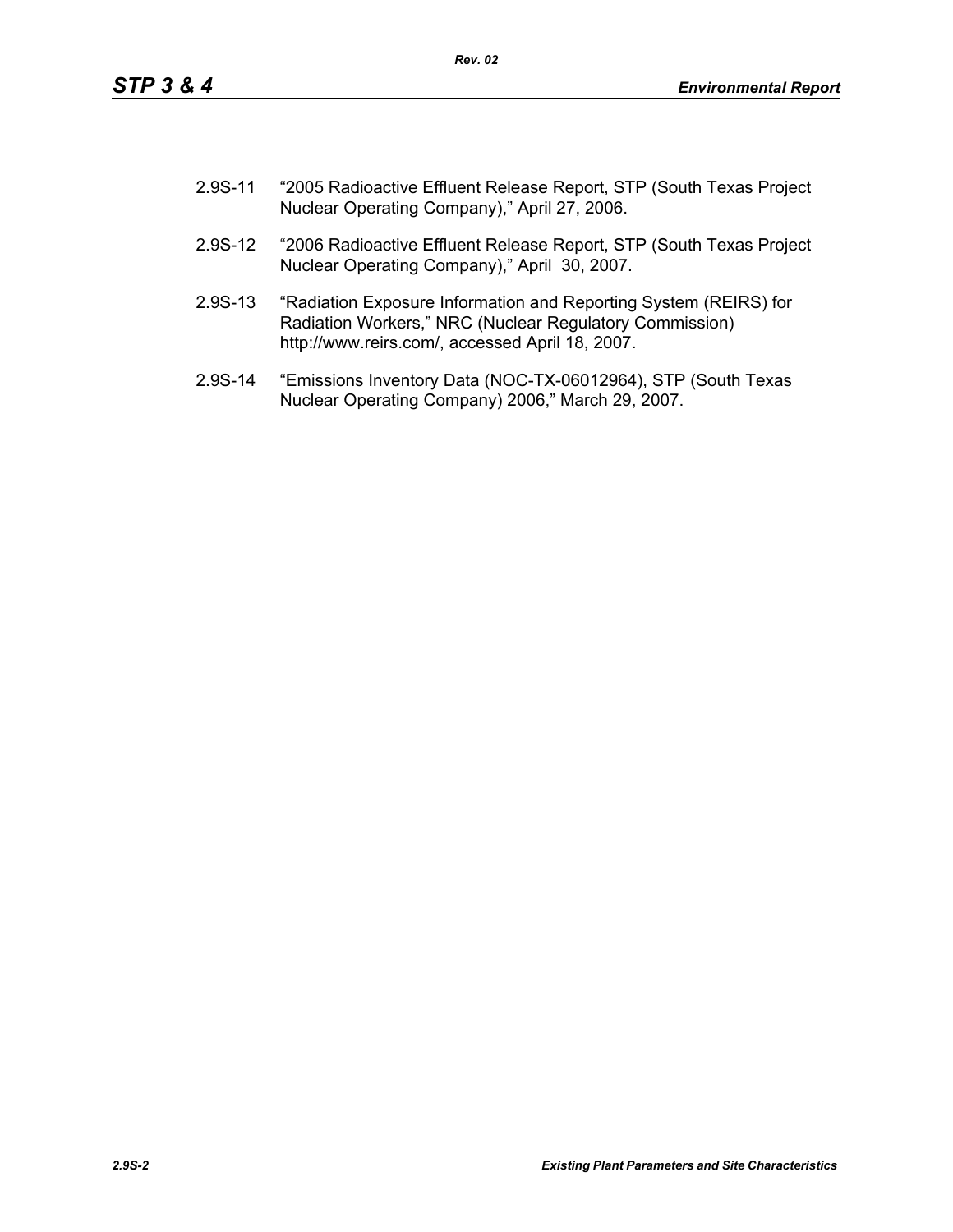- 2.9S-11 "2005 Radioactive Effluent Release Report, STP (South Texas Project Nuclear Operating Company)," April 27, 2006.
- 2.9S-12 "2006 Radioactive Effluent Release Report, STP (South Texas Project Nuclear Operating Company)," April 30, 2007.
- 2.9S-13 "Radiation Exposure Information and Reporting System (REIRS) for Radiation Workers," NRC (Nuclear Regulatory Commission) http://www.reirs.com/, accessed April 18, 2007.
- 2.9S-14 "Emissions Inventory Data (NOC-TX-06012964), STP (South Texas Nuclear Operating Company) 2006," March 29, 2007.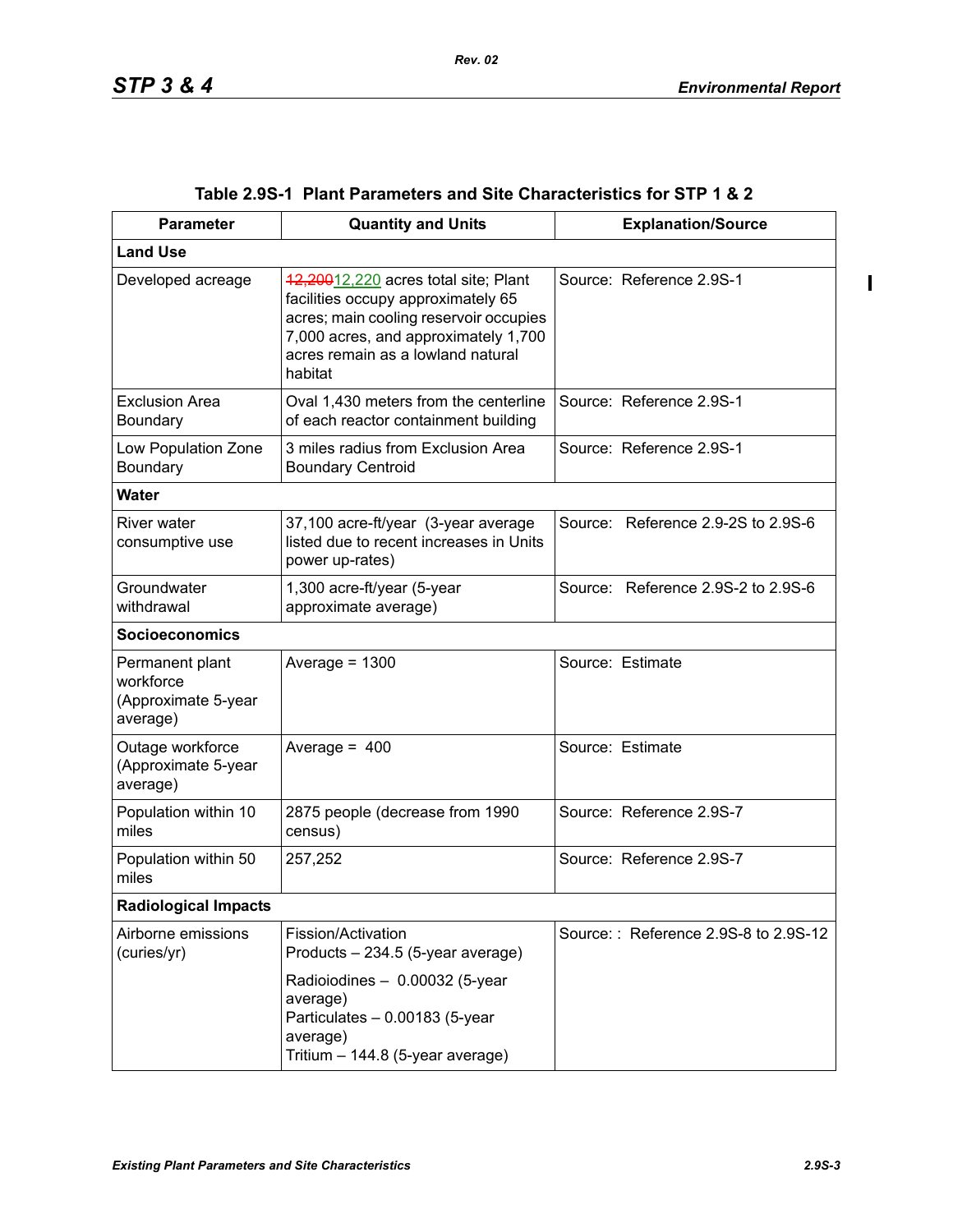$\mathbf{I}$ 

| <b>Parameter</b>                                                | <b>Quantity and Units</b>                                                                                                                                                                                    | <b>Explanation/Source</b>            |  |  |
|-----------------------------------------------------------------|--------------------------------------------------------------------------------------------------------------------------------------------------------------------------------------------------------------|--------------------------------------|--|--|
| <b>Land Use</b>                                                 |                                                                                                                                                                                                              |                                      |  |  |
| Developed acreage                                               | 42,20012,220 acres total site; Plant<br>facilities occupy approximately 65<br>acres; main cooling reservoir occupies<br>7,000 acres, and approximately 1,700<br>acres remain as a lowland natural<br>habitat | Source: Reference 2.9S-1             |  |  |
| <b>Exclusion Area</b><br>Boundary                               | Oval 1,430 meters from the centerline<br>of each reactor containment building                                                                                                                                | Source: Reference 2.9S-1             |  |  |
| Low Population Zone<br>Boundary                                 | 3 miles radius from Exclusion Area<br><b>Boundary Centroid</b>                                                                                                                                               | Source: Reference 2.9S-1             |  |  |
| <b>Water</b>                                                    |                                                                                                                                                                                                              |                                      |  |  |
| <b>River water</b><br>consumptive use                           | 37,100 acre-ft/year (3-year average<br>listed due to recent increases in Units<br>power up-rates)                                                                                                            | Source: Reference 2.9-2S to 2.9S-6   |  |  |
| Groundwater<br>withdrawal                                       | 1,300 acre-ft/year (5-year<br>approximate average)                                                                                                                                                           | Source: Reference 2.9S-2 to 2.9S-6   |  |  |
| <b>Socioeconomics</b>                                           |                                                                                                                                                                                                              |                                      |  |  |
| Permanent plant<br>workforce<br>(Approximate 5-year<br>average) | Average = $1300$                                                                                                                                                                                             | Source: Estimate                     |  |  |
| Outage workforce<br>(Approximate 5-year<br>average)             | Average = $400$                                                                                                                                                                                              | Source: Estimate                     |  |  |
| Population within 10<br>miles                                   | 2875 people (decrease from 1990<br>census)                                                                                                                                                                   | Source: Reference 2.9S-7             |  |  |
| Population within 50<br>miles                                   | 257,252                                                                                                                                                                                                      | Source: Reference 2.9S-7             |  |  |
| <b>Radiological Impacts</b>                                     |                                                                                                                                                                                                              |                                      |  |  |
| Airborne emissions<br>(curies/yr)                               | Fission/Activation<br>Products - 234.5 (5-year average)<br>Radioiodines - 0.00032 (5-year                                                                                                                    | Source:: Reference 2.9S-8 to 2.9S-12 |  |  |
|                                                                 | average)<br>Particulates - 0.00183 (5-year<br>average)<br>Tritium - 144.8 (5-year average)                                                                                                                   |                                      |  |  |

## **Table 2.9S-1 Plant Parameters and Site Characteristics for STP 1 & 2**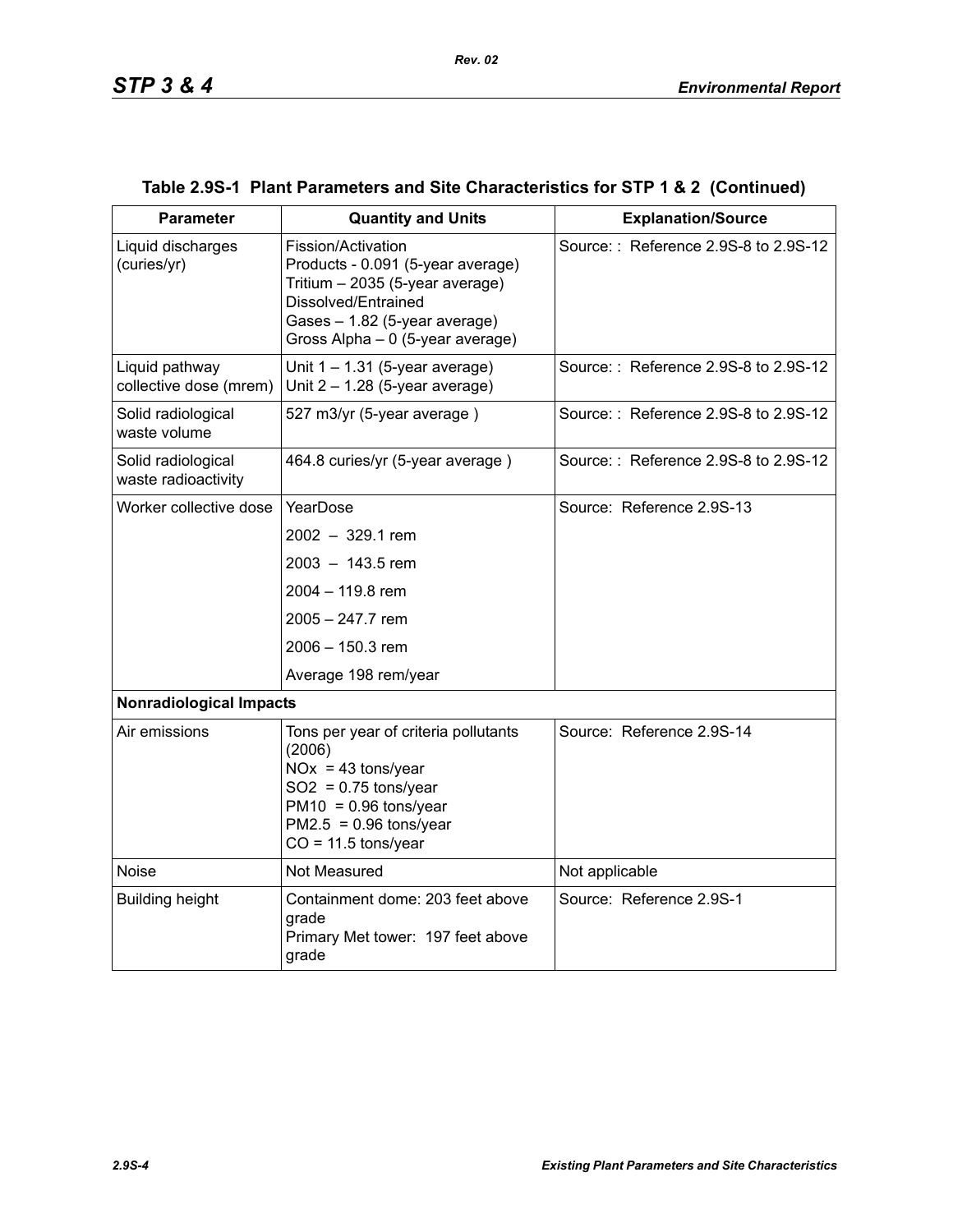| <b>Parameter</b>                          | <b>Quantity and Units</b>                                                                                                                                                              | <b>Explanation/Source</b>            |  |  |
|-------------------------------------------|----------------------------------------------------------------------------------------------------------------------------------------------------------------------------------------|--------------------------------------|--|--|
| Liquid discharges<br>(curies/yr)          | Fission/Activation<br>Products - 0.091 (5-year average)<br>Tritium - 2035 (5-year average)<br>Dissolved/Entrained<br>Gases - 1.82 (5-year average)<br>Gross Alpha - 0 (5-year average) | Source:: Reference 2.9S-8 to 2.9S-12 |  |  |
| Liquid pathway<br>collective dose (mrem)  | Unit $1 - 1.31$ (5-year average)<br>Unit $2 - 1.28$ (5-year average)                                                                                                                   | Source:: Reference 2.9S-8 to 2.9S-12 |  |  |
| Solid radiological<br>waste volume        | 527 m3/yr (5-year average)                                                                                                                                                             | Source:: Reference 2.9S-8 to 2.9S-12 |  |  |
| Solid radiological<br>waste radioactivity | 464.8 curies/yr (5-year average)                                                                                                                                                       | Source:: Reference 2.9S-8 to 2.9S-12 |  |  |
| Worker collective dose                    | YearDose                                                                                                                                                                               | Source: Reference 2.9S-13            |  |  |
|                                           | $2002 - 329.1$ rem                                                                                                                                                                     |                                      |  |  |
|                                           | $2003 - 143.5$ rem                                                                                                                                                                     |                                      |  |  |
|                                           | 2004 - 119.8 rem                                                                                                                                                                       |                                      |  |  |
|                                           | 2005 - 247.7 rem                                                                                                                                                                       |                                      |  |  |
|                                           | 2006 - 150.3 rem                                                                                                                                                                       |                                      |  |  |
|                                           | Average 198 rem/year                                                                                                                                                                   |                                      |  |  |
| <b>Nonradiological Impacts</b>            |                                                                                                                                                                                        |                                      |  |  |
| Air emissions                             | Tons per year of criteria pollutants<br>(2006)<br>$NOx = 43$ tons/year<br>$SO2 = 0.75$ tons/year<br>$PM10 = 0.96$ tons/year<br>$PM2.5 = 0.96$ tons/year<br>$CO = 11.5$ tons/year       | Source: Reference 2.9S-14            |  |  |
| <b>Noise</b>                              | Not Measured                                                                                                                                                                           | Not applicable                       |  |  |
| <b>Building height</b>                    | Containment dome: 203 feet above<br>grade<br>Primary Met tower: 197 feet above<br>grade                                                                                                | Source: Reference 2.9S-1             |  |  |

# **Table 2.9S-1 Plant Parameters and Site Characteristics for STP 1 & 2 (Continued)**